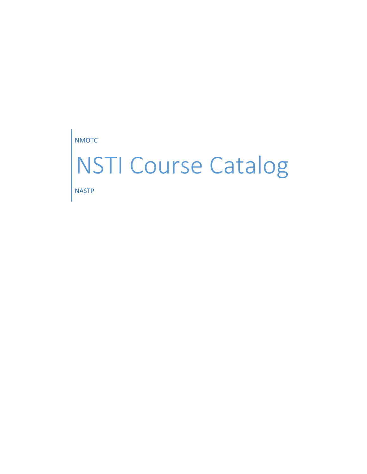NMOTC

# NSTI Course Catalog

**NASTP**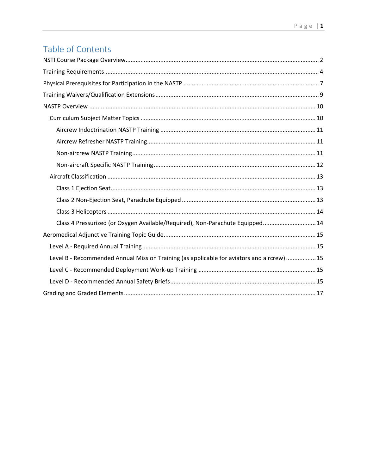### Table of Contents

| Class 4 Pressurized (or Oxygen Available/Required), Non-Parachute Equipped 14              |
|--------------------------------------------------------------------------------------------|
|                                                                                            |
|                                                                                            |
| Level B - Recommended Annual Mission Training (as applicable for aviators and aircrew)  15 |
|                                                                                            |
|                                                                                            |
|                                                                                            |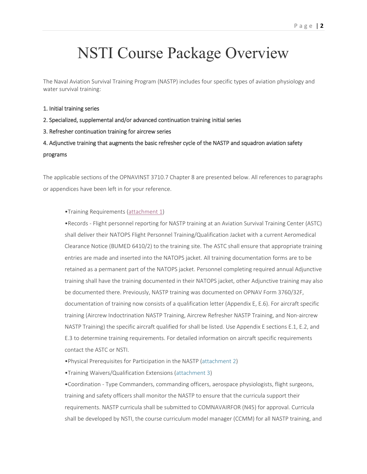## <span id="page-2-0"></span>NSTI Course Package Overview

The Naval Aviation Survival Training Program (NASTP) includes four specific types of aviation physiology and water survival training:

#### 1. Initial training series

- 2. Specialized, supplemental and/or advanced continuation training initial series
- 3. Refresher continuation training for aircrew series

### 4. Adjunctive training that augments the basic refresher cycle of the NASTP and squadron aviation safety programs

The applicable sections of the OPNAVINST 3710.7 Chapter 8 are presented below. All references to paragraphs or appendices have been left in for your reference.

#### •Training Requirements [\(attachment 1\)](#page-4-0)

•Records - Flight personnel reporting for NASTP training at an Aviation Survival Training Center (ASTC) shall deliver their NATOPS Flight Personnel Training/Qualification Jacket with a current Aeromedical Clearance Notice (BUMED 6410/2) to the training site. The ASTC shall ensure that appropriate training entries are made and inserted into the NATOPS jacket. All training documentation forms are to be retained as a permanent part of the NATOPS jacket. Personnel completing required annual Adjunctive training shall have the training documented in their NATOPS jacket, other Adjunctive training may also be documented there. Previously, NASTP training was documented on OPNAV Form 3760/32F, documentation of training now consists of a qualification letter (Appendix E, E.6). For aircraft specific training (Aircrew Indoctrination NASTP Training, Aircrew Refresher NASTP Training, and Non-aircrew NASTP Training) the specific aircraft qualified for shall be listed. Use Appendix E sections E.1, E.2, and E.3 to determine training requirements. For detailed information on aircraft specific requirements contact the ASTC or NSTI.

•Physical Prerequisites for Participation in the NASTP [\(attachment 2\)](#page-7-0)

•Training Waivers/Qualification Extensions [\(attachment](#page-9-0) 3)

•Coordination - Type Commanders, commanding officers, aerospace physiologists, flight surgeons, training and safety officers shall monitor the NASTP to ensure that the curricula support their requirements. NASTP curricula shall be submitted to COMNAVAIRFOR (N45) for approval. Curricula shall be developed by NSTI, the course curriculum model manager (CCMM) for all NASTP training, and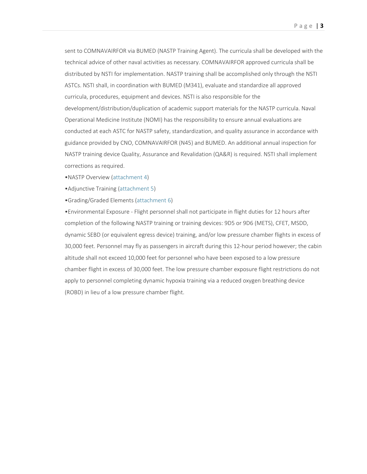sent to COMNAVAIRFOR via BUMED (NASTP Training Agent). The curricula shall be developed with the technical advice of other naval activities as necessary. COMNAVAIRFOR approved curricula shall be distributed by NSTI for implementation. NASTP training shall be accomplished only through the NSTI ASTCs. NSTI shall, in coordination with BUMED (M341), evaluate and standardize all approved curricula, procedures, equipment and devices. NSTI is also responsible for the development/distribution/duplication of academic support materials for the NASTP curricula. Naval Operational Medicine Institute (NOMI) has the responsibility to ensure annual evaluations are conducted at each ASTC for NASTP safety, standardization, and quality assurance in accordance with guidance provided by CNO, COMNAVAIRFOR (N45) and BUMED. An additional annual inspection for NASTP training device Quality, Assurance and Revalidation (QA&R) is required. NSTI shall implement corrections as required.

- •NASTP Overview [\(attachment 4\)](#page-10-0)
- •Adjunctive Training [\(attachment](#page-15-0) 5)
- •Grading/Graded Elements [\(attachment 6\)](#page-17-0)

•Environmental Exposure - Flight personnel shall not participate in flight duties for 12 hours after completion of the following NASTP training or training devices: 9D5 or 9D6 (METS), CFET, MSDD, dynamic SEBD (or equivalent egress device) training, and/or low pressure chamber flights in excess of 30,000 feet. Personnel may fly as passengers in aircraft during this 12-hour period however; the cabin altitude shall not exceed 10,000 feet for personnel who have been exposed to a low pressure chamber flight in excess of 30,000 feet. The low pressure chamber exposure flight restrictions do not apply to personnel completing dynamic hypoxia training via a reduced oxygen breathing device (ROBD) in lieu of a low pressure chamber flight.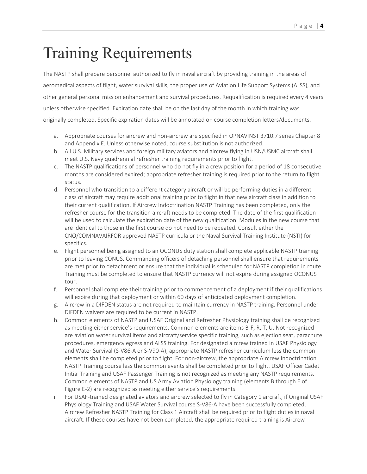# <span id="page-4-0"></span>Training Requirements

The NASTP shall prepare personnel authorized to fly in naval aircraft by providing training in the areas of aeromedical aspects of flight, water survival skills, the proper use of Aviation Life Support Systems (ALSS), and other general personal mission enhancement and survival procedures. Requalification is required every 4 years unless otherwise specified. Expiration date shall be on the last day of the month in which training was originally completed. Specific expiration dates will be annotated on course completion letters/documents.

- a. Appropriate courses for aircrew and non-aircrew are specified in OPNAVINST 3710.7 series Chapter 8 and Appendix E. Unless otherwise noted, course substitution is not authorized.
- b. All U.S. Military services and foreign military aviators and aircrew flying in USN/USMC aircraft shall meet U.S. Navy quadrennial refresher training requirements prior to flight.
- c. The NASTP qualifications of personnel who do not fly in a crew position for a period of 18 consecutive months are considered expired; appropriate refresher training is required prior to the return to flight status.
- d. Personnel who transition to a different category aircraft or will be performing duties in a different class of aircraft may require additional training prior to flight in that new aircraft class in addition to their current qualification. If Aircrew Indoctrination NASTP Training has been completed, only the refresher course for the transition aircraft needs to be completed. The date of the first qualification will be used to calculate the expiration date of the new qualification. Modules in the new course that are identical to those in the first course do not need to be repeated. Consult either the CNO/COMNAVAIRFOR approved NASTP curricula or the Naval Survival Training Institute (NSTI) for specifics.
- e. Flight personnel being assigned to an OCONUS duty station shall complete applicable NASTP training prior to leaving CONUS. Commanding officers of detaching personnel shall ensure that requirements are met prior to detachment or ensure that the individual is scheduled for NASTP completion in route. Training must be completed to ensure that NASTP currency will not expire during assigned OCONUS tour.
- f. Personnel shall complete their training prior to commencement of a deployment if their qualifications will expire during that deployment or within 60 days of anticipated deployment completion.
- g. Aircrew in a DIFDEN status are not required to maintain currency in NASTP training. Personnel under DIFDEN waivers are required to be current in NASTP.
- h. Common elements of NASTP and USAF Original and Refresher Physiology training shall be recognized as meeting either service's requirements. Common elements are items B-F, R, T, U. Not recognized are aviation water survival items and aircraft/service specific training, such as ejection seat, parachute procedures, emergency egress and ALSS training. For designated aircrew trained in USAF Physiology and Water Survival (S-V86-A or S-V90-A), appropriate NASTP refresher curriculum less the common elements shall be completed prior to flight. For non-aircrew, the appropriate Aircrew Indoctrination NASTP Training course less the common events shall be completed prior to flight. USAF Officer Cadet Initial Training and USAF Passenger Training is not recognized as meeting any NASTP requirements. Common elements of NASTP and US Army Aviation Physiology training (elements B through E of Figure E-2) are recognized as meeting either service's requirements.
- i. For USAF-trained designated aviators and aircrew selected to fly in Category 1 aircraft, if Original USAF Physiology Training and USAF Water Survival course S-V86-A have been successfully completed, Aircrew Refresher NASTP Training for Class 1 Aircraft shall be required prior to flight duties in naval aircraft. If these courses have not been completed, the appropriate required training is Aircrew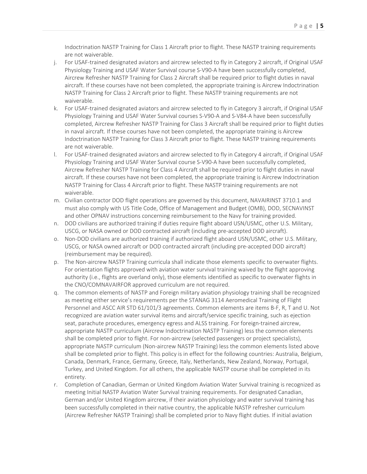Indoctrination NASTP Training for Class 1 Aircraft prior to flight. These NASTP training requirements are not waiverable.

- j. For USAF-trained designated aviators and aircrew selected to fly in Category 2 aircraft, if Original USAF Physiology Training and USAF Water Survival course S-V90-A have been successfully completed, Aircrew Refresher NASTP Training for Class 2 Aircraft shall be required prior to flight duties in naval aircraft. If these courses have not been completed, the appropriate training is Aircrew Indoctrination NASTP Training for Class 2 Aircraft prior to flight. These NASTP training requirements are not waiverable.
- k. For USAF-trained designated aviators and aircrew selected to fly in Category 3 aircraft, if Original USAF Physiology Training and USAF Water Survival courses S-V90-A and S-V84-A have been successfully completed, Aircrew Refresher NASTP Training for Class 3 Aircraft shall be required prior to flight duties in naval aircraft. If these courses have not been completed, the appropriate training is Aircrew Indoctrination NASTP Training for Class 3 Aircraft prior to flight. These NASTP training requirements are not waiverable.
- l. For USAF-trained designated aviators and aircrew selected to fly in Category 4 aircraft, if Original USAF Physiology Training and USAF Water Survival course S-V90-A have been successfully completed, Aircrew Refresher NASTP Training for Class 4 Aircraft shall be required prior to flight duties in naval aircraft. If these courses have not been completed, the appropriate training is Aircrew Indoctrination NASTP Training for Class 4 Aircraft prior to flight. These NASTP training requirements are not waiverable.
- m. Civilian contractor DOD flight operations are governed by this document, NAVAIRINST 3710.1 and must also comply with US Title Code, Office of Management and Budget (OMB), DOD, SECNAVINST and other OPNAV instructions concerning reimbursement to the Navy for training provided.
- n. DOD civilians are authorized training if duties require flight aboard USN/USMC, other U.S. Military, USCG, or NASA owned or DOD contracted aircraft (including pre-accepted DOD aircraft).
- o. Non-DOD civilians are authorized training if authorized flight aboard USN/USMC, other U.S. Military, USCG, or NASA owned aircraft or DOD contracted aircraft (including pre-accepted DOD aircraft) (reimbursement may be required).
- p. The Non-aircrew NASTP Training curricula shall indicate those elements specific to overwater flights. For orientation flights approved with aviation water survival training waived by the flight approving authority (i.e., flights are overland only), those elements identified as specific to overwater flights in the CNO/COMNAVAIRFOR approved curriculum are not required.
- q. The common elements of NASTP and Foreign military aviation physiology training shall be recognized as meeting either service's requirements per the STANAG 3114 Aeromedical Training of Flight Personnel and ASCC AIR STD 61/101/3 agreements. Common elements are items B-F, R, T and U. Not recognized are aviation water survival items and aircraft/service specific training, such as ejection seat, parachute procedures, emergency egress and ALSS training. For foreign-trained aircrew, appropriate NASTP curriculum (Aircrew Indoctrination NASTP Training) less the common elements shall be completed prior to flight. For non-aircrew (selected passengers or project specialists), appropriate NASTP curriculum (Non-aircrew NASTP Training) less the common elements listed above shall be completed prior to flight. This policy is in effect for the following countries: Australia, Belgium, Canada, Denmark, France, Germany, Greece, Italy, Netherlands, New Zealand, Norway, Portugal, Turkey, and United Kingdom. For all others, the applicable NASTP course shall be completed in its entirety.
- r. Completion of Canadian, German or United Kingdom Aviation Water Survival training is recognized as meeting Initial NASTP Aviation Water Survival training requirements. For designated Canadian, German and/or United Kingdom aircrew, if their aviation physiology and water survival training has been successfully completed in their native country, the applicable NASTP refresher curriculum (Aircrew Refresher NASTP Training) shall be completed prior to Navy flight duties. If initial aviation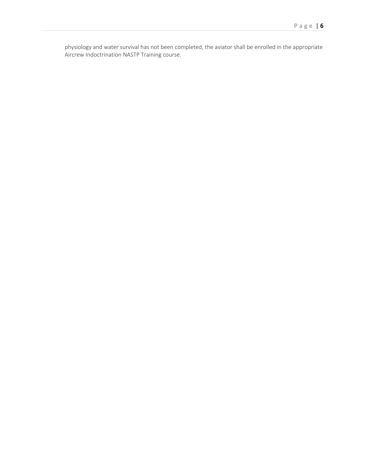physiology and water survival has not been completed, the aviator shall be enrolled in the appropriate Aircrew Indoctrination NASTP Training course.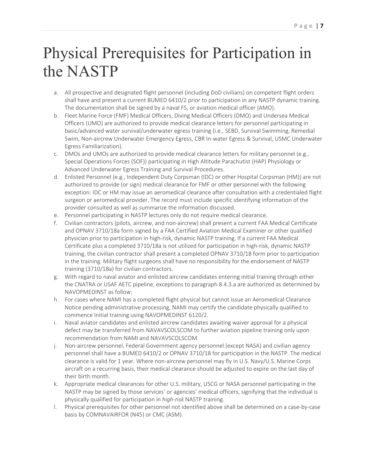# <span id="page-7-0"></span>Physical Prerequisites for Participation in the NASTP

- a. All prospective and designated flight personnel (including DoD civilians) on competent flight orders shall have and present a current BUMED 6410/2 prior to participation in any NASTP dynamic training. The documentation shall be signed by a naval FS, or aviation medical officer (AMO).
- b. Fleet Marine Force (FMF) Medical Officers, Diving Medical Officers (DMO) and Undersea Medical Officers (UMO) are authorized to provide medical clearance letters for personnel participating in basic/advanced water survival/underwater egress training (i.e., SEBD, Survival Swimming, Remedial Swim, Non-aircrew Underwater Emergency Egress, CBR In-water Egress & Survival, USMC Underwater Egress Familiarization).
- c. DMOs and UMOs are authorized to provide medical clearance letters for military personnel (e.g., Special Operations Forces (SOF)) participating in High Altitude Parachutist (HAP) Physiology or Advanced Underwater Egress Training and Survival Procedures.
- d. Enlisted Personnel (e.g., Independent Duty Corpsman (IDC) or other Hospital Corpsman (HM)) are not authorized to provide (or sign) medical clearance for FMF or other personnel with the following exception: IDC or HM may issue an aeromedical clearance after consultation with a credentialed flight surgeon or aeromedical provider. The record must include specific identifying information of the provider consulted as well as summarize the information discussed.
- e. Personnel participating in NASTP lectures only do not require medical clearance.
- f. Civilian contractors (pilots, aircrew, and non-aircrew) shall present a current FAA Medical Certificate and OPNAV 3710/18a form signed by a FAA Certified Aviation Medical Examiner or other qualified physician prior to participation in high-risk, dynamic NASTP training. If a current FAA Medical Certificate plus a completed 3710/18a is not utilized for participation in high-risk, dynamic NASTP training, the civilian contractor shall present a completed OPNAV 3710/18 form prior to participation in the training. Military flight surgeons shall have no responsibility for the endorsement of NASTP training (3710/18a) for civilian contractors.
- g. With regard to naval aviator and enlisted aircrew candidates entering initial training through either the CNATRA or USAF AETC pipeline, exceptions to paragraph 8.4.3.a are authorized as determined by NAVOPMEDINST as follow:
- h. For cases where NAMI has a completed flight physical but cannot issue an Aeromedical Clearance Notice pending administrative processing, NAMI may certify the candidate physically qualified to commence Initial training using NAVOPMEDINST 6120/2.
- i. Naval aviator candidates and enlisted aircrew candidates awaiting waiver approval for a physical defect may be transferred from NAVAVSCOLSCOM to further aviation pipeline training only upon recommendation from NAMI and NAVAVSCOLSCOM.
- j. Non-aircrew personnel, Federal Government agency personnel (except NASA) and civilian agency personnel shall have a BUMED 6410/2 or OPNAV 3710/18 for participation in the NASTP. The medical clearance is valid for 1 year. Where non-aircrew personnel may fly in U.S. Navy/U.S. Marine Corps aircraft on a recurring basis, their medical clearance should be adjusted to expire on the last day of their birth month.
- k. Appropriate medical clearances for other U.S. military, USCG or NASA personnel participating in the NASTP may be signed by those services' or agencies' medical officers, signifying that the individual is physically qualified for participation in *high-risk* NASTP training.
- l. Physical prerequisites for other personnel not identified above shall be determined on a case-by-case basis by COMNAVAIRFOR (N45) or CMC (ASM).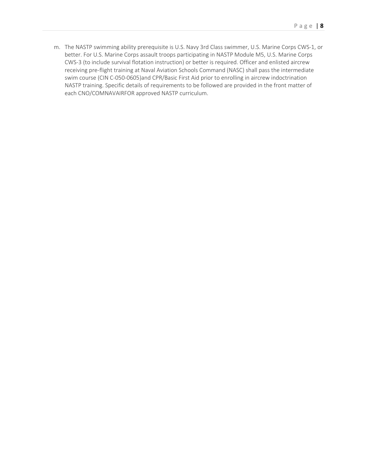m. The NASTP swimming ability prerequisite is U.S. Navy 3rd Class swimmer, U.S. Marine Corps CWS-1, or better. For U.S. Marine Corps assault troops participating in NASTP Module M5, U.S. Marine Corps CWS-3 (to include survival flotation instruction) or better is required. Officer and enlisted aircrew receiving pre-flight training at Naval Aviation Schools Command (NASC) shall pass the intermediate swim course (CIN C-050-0605)and CPR/Basic First Aid prior to enrolling in aircrew indoctrination NASTP training. Specific details of requirements to be followed are provided in the front matter of each CNO/COMNAVAIRFOR approved NASTP curriculum.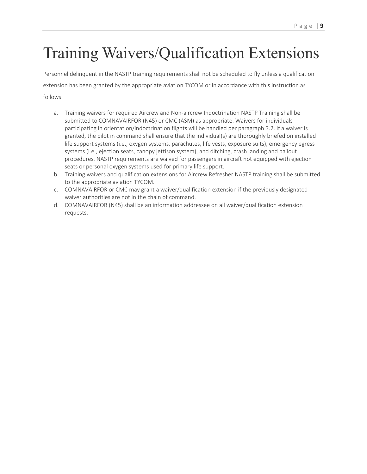# <span id="page-9-0"></span>Training Waivers/Qualification Extensions

Personnel delinquent in the NASTP training requirements shall not be scheduled to fly unless a qualification extension has been granted by the appropriate aviation TYCOM or in accordance with this instruction as follows:

- a. Training waivers for required Aircrew and Non-aircrew Indoctrination NASTP Training shall be submitted to COMNAVAIRFOR (N45) or CMC (ASM) as appropriate. Waivers for individuals participating in orientation/indoctrination flights will be handled per paragraph 3.2. If a waiver is granted, the pilot in command shall ensure that the individual(s) are thoroughly briefed on installed life support systems (i.e., oxygen systems, parachutes, life vests, exposure suits), emergency egress systems (i.e., ejection seats, canopy jettison system), and ditching, crash landing and bailout procedures. NASTP requirements are waived for passengers in aircraft not equipped with ejection seats or personal oxygen systems used for primary life support.
- b. Training waivers and qualification extensions for Aircrew Refresher NASTP training shall be submitted to the appropriate aviation TYCOM.
- c. COMNAVAIRFOR or CMC may grant a waiver/qualification extension if the previously designated waiver authorities are not in the chain of command.
- d. COMNAVAIRFOR (N45) shall be an information addressee on all waiver/qualification extension requests.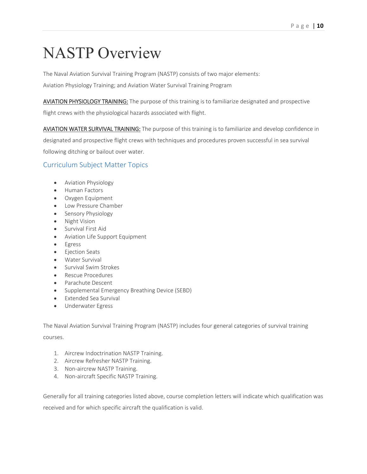# <span id="page-10-0"></span>NASTP Overview

The Naval Aviation Survival Training Program (NASTP) consists of two major elements:

Aviation Physiology Training; and Aviation Water Survival Training Program

AVIATION PHYSIOLOGY TRAINING: The purpose of this training is to familiarize designated and prospective

flight crews with the physiological hazards associated with flight.

AVIATION WATER SURVIVAL TRAINING: The purpose of this training is to familiarize and develop confidence in designated and prospective flight crews with techniques and procedures proven successful in sea survival following ditching or bailout over water.

#### <span id="page-10-1"></span>Curriculum Subject Matter Topics

- Aviation Physiology
- Human Factors
- Oxygen Equipment
- Low Pressure Chamber
- Sensory Physiology
- Night Vision
- Survival First Aid
- Aviation Life Support Equipment
- Egress
- Ejection Seats
- Water Survival
- Survival Swim Strokes
- Rescue Procedures
- Parachute Descent
- Supplemental Emergency Breathing Device (SEBD)
- Extended Sea Survival
- Underwater Egress

The Naval Aviation Survival Training Program (NASTP) includes four general categories of survival training

courses.

- 1. Aircrew Indoctrination NASTP Training.
- 2. Aircrew Refresher NASTP Training.
- 3. Non-aircrew NASTP Training.
- 4. Non-aircraft Specific NASTP Training.

Generally for all training categories listed above, course completion letters will indicate which qualification was received and for which specific aircraft the qualification is valid.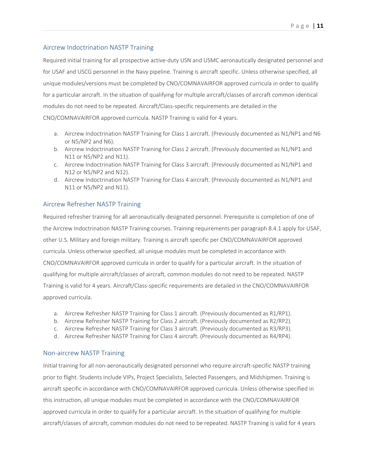#### Page | **11**

#### <span id="page-11-0"></span>Aircrew Indoctrination NASTP Training

Required initial training for all prospective active-duty USN and USMC aeronautically designated personnel and for USAF and USCG personnel in the Navy pipeline. Training is aircraft specific. Unless otherwise specified, all unique modules/versions must be completed by CNO/COMNAVAIRFOR approved curricula in order to qualify for a particular aircraft. In the situation of qualifying for multiple aircraft/classes of aircraft common identical modules do not need to be repeated. Aircraft/Class-specific requirements are detailed in the CNO/COMNAVAIRFOR approved curricula. NASTP Training is valid for 4 years.

- a. Aircrew Indoctrination NASTP Training for Class 1 aircraft. (Previously documented as N1/NP1 and N6 or N5/NP2 and N6).
- b. Aircrew Indoctrination NASTP Training for Class 2 aircraft. (Previously documented as N1/NP1 and N11 or N5/NP2 and N11).
- c. Aircrew Indoctrination NASTP Training for Class 3 aircraft. (Previously documented as N1/NP1 and N12 or N5/NP2 and N12).
- d. Aircrew Indoctrination NASTP Training for Class 4 aircraft. (Previously documented as N1/NP1 and N11 or N5/NP2 and N11).

#### <span id="page-11-1"></span>Aircrew Refresher NASTP Training

Required refresher training for all aeronautically designated personnel. Prerequisite is completion of one of the Aircrew Indoctrination NASTP Training courses. Training requirements per paragraph 8.4.1 apply for USAF, other U.S. Military and foreign military. Training is aircraft specific per CNO/COMNAVAIRFOR approved curricula. Unless otherwise specified, all unique modules must be completed in accordance with CNO/COMNAVAIRFOR approved curricula in order to qualify for a particular aircraft. In the situation of qualifying for multiple aircraft/classes of aircraft, common modules do not need to be repeated. NASTP Training is valid for 4 years. Aircraft/Class-specific requirements are detailed in the CNO/COMNAVAIRFOR approved curricula.

- a. Aircrew Refresher NASTP Training for Class 1 aircraft. (Previously documented as R1/RP1).
- b. Aircrew Refresher NASTP Training for Class 2 aircraft. (Previously documented as R2/RP2).
- c. Aircrew Refresher NASTP Training for Class 3 aircraft. (Previously documented as R3/RP3).
- d. Aircrew Refresher NASTP Training for Class 4 aircraft. (Previously documented as R4/RP4).

#### <span id="page-11-2"></span>Non-aircrew NASTP Training

Initial training for all non-aeronautically designated personnel who require aircraft-specific NASTP training prior to flight. Students include VIPs, Project Specialists, Selected Passengers, and Midshipmen. Training is aircraft specific in accordance with CNO/COMNAVAIRFOR approved curricula. Unless otherwise specified in this instruction, all unique modules must be completed in accordance with the CNO/COMNAVAIRFOR approved curricula in order to qualify for a particular aircraft. In the situation of qualifying for multiple aircraft/classes of aircraft, common modules do not need to be repeated. NASTP Training is valid for 4 years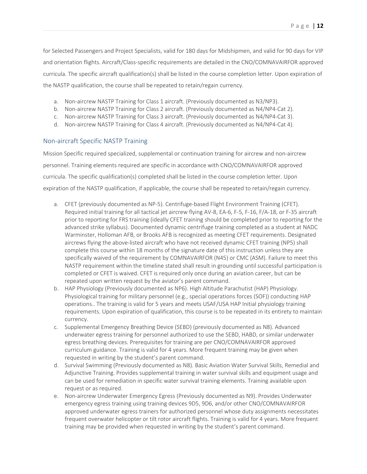for Selected Passengers and Project Specialists, valid for 180 days for Midshipmen, and valid for 90 days for VIP and orientation flights. Aircraft/Class-specific requirements are detailed in the CNO/COMNAVAIRFOR approved curricula. The specific aircraft qualification(s) shall be listed in the course completion letter. Upon expiration of the NASTP qualification, the course shall be repeated to retain/regain currency.

- a. Non-aircrew NASTP Training for Class 1 aircraft. (Previously documented as N3/NP3).
- b. Non-aircrew NASTP Training for Class 2 aircraft. (Previously documented as N4/NP4-Cat 2).
- c. Non-aircrew NASTP Training for Class 3 aircraft. (Previously documented as N4/NP4-Cat 3).
- d. Non-aircrew NASTP Training for Class 4 aircraft. (Previously documented as N4/NP4-Cat 4).

#### <span id="page-12-0"></span>Non-aircraft Specific NASTP Training

Mission Specific required specialized, supplemental or continuation training for aircrew and non-aircrew personnel. Training elements required are specific in accordance with CNO/COMNAVAIRFOR approved curricula. The specific qualification(s) completed shall be listed in the course completion letter. Upon expiration of the NASTP qualification, if applicable, the course shall be repeated to retain/regain currency.

- a. CFET (previously documented as NP-5). Centrifuge-based Flight Environment Training (CFET). Required initial training for all tactical jet aircrew flying AV-8, EA-6, F-5, F-16, F/A-18, or F-35 aircraft prior to reporting for FRS training (ideally CFET training should be completed prior to reporting for the advanced strike syllabus). Documented dynamic centrifuge training completed as a student at NADC Warminster, Holloman AFB, or Brooks AFB is recognized as meeting CFET requirements. Designated aircrews flying the above-listed aircraft who have not received dynamic CFET training (NP5) shall complete this course within 18 months of the signature date of this instruction unless they are specifically waived of the requirement by COMNAVAIRFOR (N45) or CMC (ASM). Failure to meet this NASTP requirement within the timeline stated shall result in grounding until successful participation is completed or CFET is waived. CFET is required only once during an aviation career, but can be repeated upon written request by the aviator's parent command.
- b. HAP Physiology (Previously documented as NP6). High Altitude Parachutist (HAP) Physiology. Physiological training for military personnel (e.g., special operations forces (SOF)) conducting HAP operations.. The training is valid for 5 years and meets USAF/USA HAP Initial physiology training requirements. Upon expiration of qualification, this course is to be repeated in its entirety to maintain currency.
- c. Supplemental Emergency Breathing Device (SEBD) (previously documented as N8). Advanced underwater egress training for personnel authorized to use the SEBD, HABD, or similar underwater egress breathing devices. Prerequisites for training are per CNO/COMNAVAIRFOR approved curriculum guidance. Training is valid for 4 years. More frequent training may be given when requested in writing by the student's parent command.
- d. Survival Swimming (Previously documented as N8). Basic Aviation Water Survival Skills, Remedial and Adjunctive Training. Provides supplemental training in water survival skills and equipment usage and can be used for remediation in specific water survival training elements. Training available upon request or as required.
- e. Non-aircrew Underwater Emergency Egress (Previously documented as N9). Provides Underwater emergency egress training using training devices 9D5, 9D6, and/or other CNO/COMNAVAIRFOR approved underwater egress trainers for authorized personnel whose duty assignments necessitates frequent overwater helicopter or tilt rotor aircraft flights. Training is valid for 4 years. More frequent training may be provided when requested in writing by the student's parent command.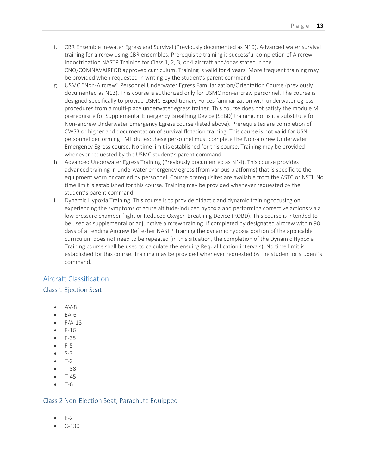- f. CBR Ensemble In-water Egress and Survival (Previously documented as N10). Advanced water survival training for aircrew using CBR ensembles. Prerequisite training is successful completion of Aircrew Indoctrination NASTP Training for Class 1, 2, 3, or 4 aircraft and/or as stated in the CNO/COMNAVAIRFOR approved curriculum. Training is valid for 4 years. More frequent training may be provided when requested in writing by the student's parent command.
- g. USMC "Non-Aircrew" Personnel Underwater Egress Familiarization/Orientation Course (previously documented as N13). This course is authorized only for USMC non-aircrew personnel. The course is designed specifically to provide USMC Expeditionary Forces familiarization with underwater egress procedures from a multi-place underwater egress trainer. This course does not satisfy the module M prerequisite for Supplemental Emergency Breathing Device (SEBD) training, nor is it a substitute for Non-aircrew Underwater Emergency Egress course (listed above). Prerequisites are completion of CWS3 or higher and documentation of survival flotation training. This course is not valid for USN personnel performing FMF duties: these personnel must complete the Non-aircrew Underwater Emergency Egress course. No time limit is established for this course. Training may be provided whenever requested by the USMC student's parent command.
- h. Advanced Underwater Egress Training (Previously documented as N14). This course provides advanced training in underwater emergency egress (from various platforms) that is specific to the equipment worn or carried by personnel. Course prerequisites are available from the ASTC or NSTI. No time limit is established for this course. Training may be provided whenever requested by the student's parent command.
- i. Dynamic Hypoxia Training. This course is to provide didactic and dynamic training focusing on experiencing the symptoms of acute altitude-induced hypoxia and performing corrective actions via a low pressure chamber flight or Reduced Oxygen Breathing Device (ROBD). This course is intended to be used as supplemental or adjunctive aircrew training. If completed by designated aircrew within 90 days of attending Aircrew Refresher NASTP Training the dynamic hypoxia portion of the applicable curriculum does not need to be repeated (in this situation, the completion of the Dynamic Hypoxia Training course shall be used to calculate the ensuing Requalification intervals). No time limit is established for this course. Training may be provided whenever requested by the student or student's command.

### <span id="page-13-0"></span>Aircraft Classification

#### <span id="page-13-1"></span>Class 1 Ejection Seat

- $\bullet$   $AV-8$
- EA-6
- $F/A-18$
- F-16
- F-35
- F-5
- S-3
- T-2
- T-38
- T-45
- T-6

#### <span id="page-13-2"></span>Class 2 Non-Ejection Seat, Parachute Equipped

- E-2
- C-130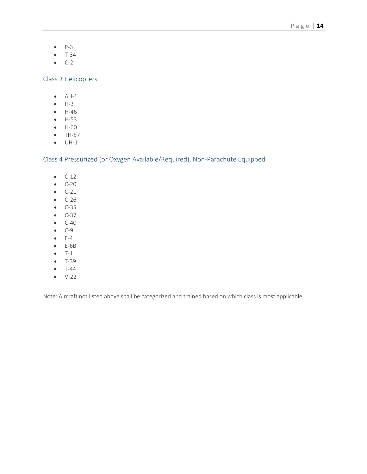- P-3
- T-34
- $\bullet$  C-2

<span id="page-14-0"></span>Class 3 Helicopters

- $\bullet$  AH-1
- H-3
- H-46
- H-53
- H-60
- TH-57
- UH-1

### <span id="page-14-1"></span>Class 4 Pressurized (or Oxygen Available/Required), Non-Parachute Equipped

- $\bullet$  C-12
- C-20
- C-21
- C-26
- C-35
- C-37
- $\bullet$  C-40
- C-9
- $\bullet$  E-4
- E-6B
- T-1
- T-39
- T-44
- V-22

Note: Aircraft not listed above shall be categorized and trained based on which class is most applicable.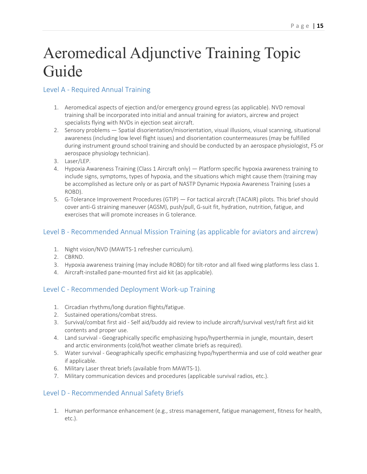# <span id="page-15-0"></span>Aeromedical Adjunctive Training Topic Guide

<span id="page-15-1"></span>Level A - Required Annual Training

- 1. Aeromedical aspects of ejection and/or emergency ground egress (as applicable). NVD removal training shall be incorporated into initial and annual training for aviators, aircrew and project specialists flying with NVDs in ejection seat aircraft.
- 2. Sensory problems Spatial disorientation/misorientation, visual illusions, visual scanning, situational awareness (including low level flight issues) and disorientation countermeasures (may be fulfilled during instrument ground school training and should be conducted by an aerospace physiologist, FS or aerospace physiology technician).
- 3. Laser/LEP.
- 4. Hypoxia Awareness Training (Class 1 Aircraft only) Platform specific hypoxia awareness training to include signs, symptoms, types of hypoxia, and the situations which might cause them (training may be accomplished as lecture only or as part of NASTP Dynamic Hypoxia Awareness Training (uses a ROBD).
- 5. G-Tolerance Improvement Procedures (GTIP) For tactical aircraft (TACAIR) pilots. This brief should cover anti-G straining maneuver (AGSM), push/pull, G-suit fit, hydration, nutrition, fatigue, and exercises that will promote increases in G tolerance.

### <span id="page-15-2"></span>Level B - Recommended Annual Mission Training (as applicable for aviators and aircrew)

- 1. Night vision/NVD (MAWTS-1 refresher curriculum).
- 2. CBRND.
- 3. Hypoxia awareness training (may include ROBD) for tilt-rotor and all fixed wing platforms less class 1.
- 4. Aircraft-installed pane-mounted first aid kit (as applicable).

### <span id="page-15-3"></span>Level C - Recommended Deployment Work-up Training

- 1. Circadian rhythms/long duration flights/fatigue.
- 2. Sustained operations/combat stress.
- 3. Survival/combat first aid Self aid/buddy aid review to include aircraft/survival vest/raft first aid kit contents and proper use.
- 4. Land survival Geographically specific emphasizing hypo/hyperthermia in jungle, mountain, desert and arctic environments (cold/hot weather climate briefs as required).
- 5. Water survival Geographically specific emphasizing hypo/hyperthermia and use of cold weather gear if applicable.
- 6. Military Laser threat briefs (available from MAWTS-1).
- 7. Military communication devices and procedures (applicable survival radios, etc.).

### <span id="page-15-4"></span>Level D - Recommended Annual Safety Briefs

1. Human performance enhancement (e.g., stress management, fatigue management, fitness for health, etc.).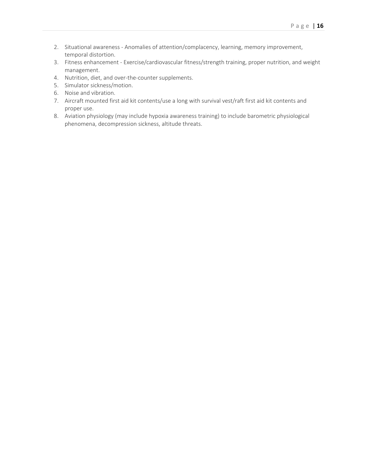- 2. Situational awareness Anomalies of attention/complacency, learning, memory improvement, temporal distortion.
- 3. Fitness enhancement Exercise/cardiovascular fitness/strength training, proper nutrition, and weight management.
- 4. Nutrition, diet, and over-the-counter supplements.
- 5. Simulator sickness/motion.
- 6. Noise and vibration.
- 7. Aircraft mounted first aid kit contents/use a long with survival vest/raft first aid kit contents and proper use.
- 8. Aviation physiology (may include hypoxia awareness training) to include barometric physiological phenomena, decompression sickness, altitude threats.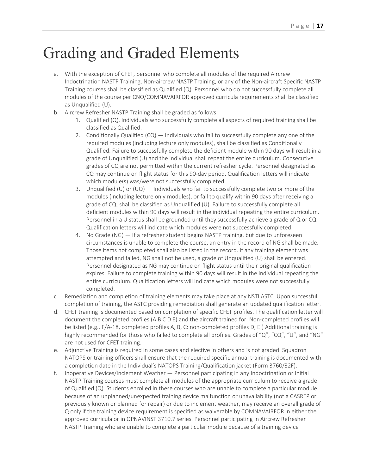# <span id="page-17-0"></span>Grading and Graded Elements

- a. With the exception of CFET, personnel who complete all modules of the required Aircrew Indoctrination NASTP Training, Non-aircrew NASTP Training, or any of the Non-aircraft Specific NASTP Training courses shall be classified as Qualified (Q). Personnel who do not successfully complete all modules of the course per CNO/COMNAVAIRFOR approved curricula requirements shall be classified as Unqualified (U).
- b. Aircrew Refresher NASTP Training shall be graded as follows:
	- 1. Qualified (Q). Individuals who successfully complete all aspects of required training shall be classified as Qualified.
	- 2. Conditionally Qualified (CQ) Individuals who fail to successfully complete any one of the required modules (including lecture only modules), shall be classified as Conditionally Qualified. Failure to successfully complete the deficient module within 90 days will result in a grade of Unqualified (U) and the individual shall repeat the entire curriculum. Consecutive grades of CQ are not permitted within the current refresher cycle. Personnel designated as CQ may continue on flight status for this 90-day period. Qualification letters will indicate which module(s) was/were not successfully completed.
	- 3. Unqualified (U) or  $(UQ)$  Individuals who fail to successfully complete two or more of the modules (including lecture only modules), or fail to qualify within 90 days after receiving a grade of CQ, shall be classified as Unqualified (U). Failure to successfully complete all deficient modules within 90 days will result in the individual repeating the entire curriculum. Personnel in a U status shall be grounded until they successfully achieve a grade of Q or CQ. Qualification letters will indicate which modules were not successfully completed.
	- 4. No Grade (NG) If a refresher student begins NASTP training, but due to unforeseen circumstances is unable to complete the course, an entry in the record of NG shall be made. Those items not completed shall also be listed in the record. If any training element was attempted and failed, NG shall not be used, a grade of Unqualified (U) shall be entered. Personnel designated as NG may continue on flight status until their original qualification expires. Failure to complete training within 90 days will result in the individual repeating the entire curriculum. Qualification letters will indicate which modules were not successfully completed.
- c. Remediation and completion of training elements may take place at any NSTI ASTC. Upon successful completion of training, the ASTC providing remediation shall generate an updated qualification letter.
- d. CFET training is documented based on completion of specific CFET profiles. The qualification letter will document the completed profiles (A B C D E) and the aircraft trained for. Non-completed profiles will be listed (e.g., F/A-18, completed profiles A, B, C: non-completed profiles D, E.) Additional training is highly recommended for those who failed to complete all profiles. Grades of "Q", "CQ", "U", and "NG" are not used for CFET training.
- e. Adjunctive Training is required in some cases and elective in others and is not graded. Squadron NATOPS or training officers shall ensure that the required specific annual training is documented with a completion date in the Individual's NATOPS Training/Qualification jacket (Form 3760/32F).
- f. Inoperative Devices/Inclement Weather Personnel participating in any Indoctrination or Initial NASTP Training courses must complete all modules of the appropriate curriculum to receive a grade of Qualified (Q). Students enrolled in these courses who are unable to complete a particular module because of an unplanned/unexpected training device malfunction or unavailability (not a CASREP or previously known or planned for repair) or due to inclement weather, may receive an overall grade of Q only if the training device requirement is specified as waiverable by COMNAVAIRFOR in either the approved curricula or in OPNAVINST 3710.7 series. Personnel participating in Aircrew Refresher NASTP Training who are unable to complete a particular module because of a training device